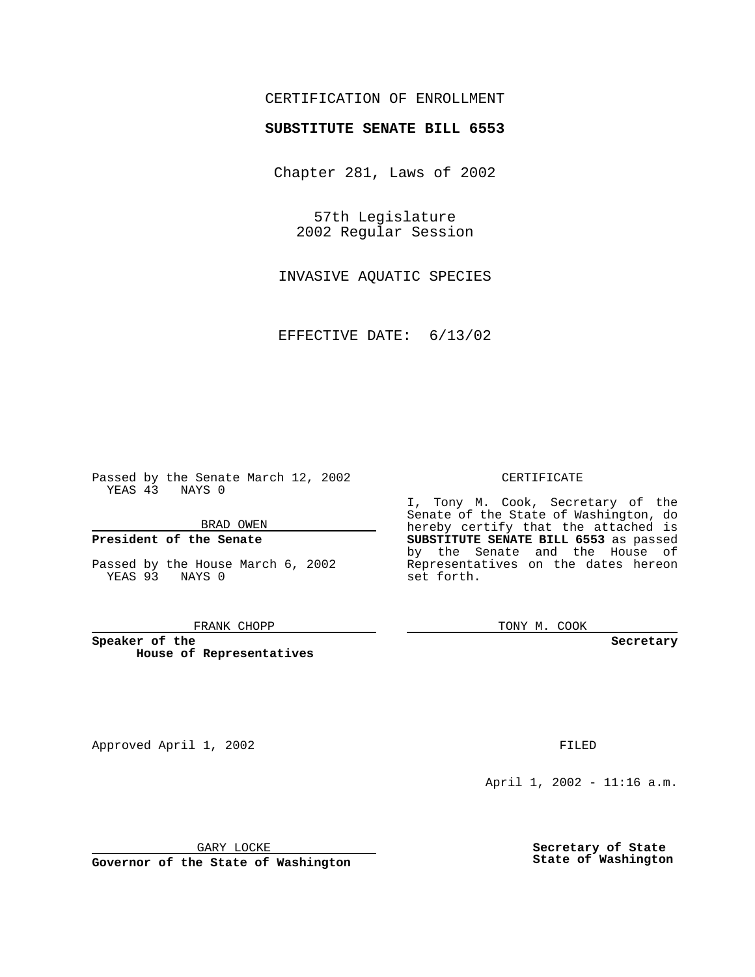## CERTIFICATION OF ENROLLMENT

# **SUBSTITUTE SENATE BILL 6553**

Chapter 281, Laws of 2002

57th Legislature 2002 Regular Session

INVASIVE AQUATIC SPECIES

EFFECTIVE DATE: 6/13/02

Passed by the Senate March 12, 2002 YEAS 43 NAYS 0

BRAD OWEN

## **President of the Senate**

Passed by the House March 6, 2002 YEAS 93 NAYS 0

#### FRANK CHOPP

**Speaker of the House of Representatives** CERTIFICATE

I, Tony M. Cook, Secretary of the Senate of the State of Washington, do hereby certify that the attached is **SUBSTITUTE SENATE BILL 6553** as passed by the Senate and the House of Representatives on the dates hereon set forth.

TONY M. COOK

**Secretary**

Approved April 1, 2002 **FILED** 

April 1, 2002 - 11:16 a.m.

GARY LOCKE

**Governor of the State of Washington**

**Secretary of State State of Washington**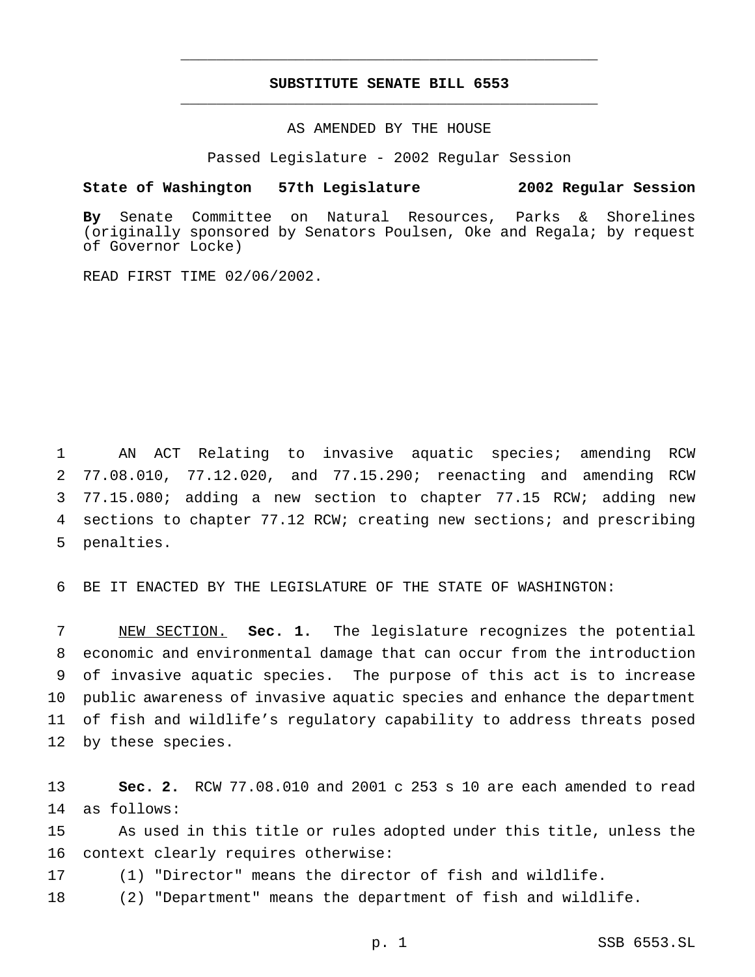## **SUBSTITUTE SENATE BILL 6553** \_\_\_\_\_\_\_\_\_\_\_\_\_\_\_\_\_\_\_\_\_\_\_\_\_\_\_\_\_\_\_\_\_\_\_\_\_\_\_\_\_\_\_\_\_\_\_

\_\_\_\_\_\_\_\_\_\_\_\_\_\_\_\_\_\_\_\_\_\_\_\_\_\_\_\_\_\_\_\_\_\_\_\_\_\_\_\_\_\_\_\_\_\_\_

### AS AMENDED BY THE HOUSE

Passed Legislature - 2002 Regular Session

### **State of Washington 57th Legislature 2002 Regular Session**

**By** Senate Committee on Natural Resources, Parks & Shorelines (originally sponsored by Senators Poulsen, Oke and Regala; by request of Governor Locke)

READ FIRST TIME 02/06/2002.

 AN ACT Relating to invasive aquatic species; amending RCW 77.08.010, 77.12.020, and 77.15.290; reenacting and amending RCW 77.15.080; adding a new section to chapter 77.15 RCW; adding new sections to chapter 77.12 RCW; creating new sections; and prescribing penalties.

BE IT ENACTED BY THE LEGISLATURE OF THE STATE OF WASHINGTON:

 NEW SECTION. **Sec. 1.** The legislature recognizes the potential economic and environmental damage that can occur from the introduction of invasive aquatic species. The purpose of this act is to increase public awareness of invasive aquatic species and enhance the department of fish and wildlife's regulatory capability to address threats posed by these species.

 **Sec. 2.** RCW 77.08.010 and 2001 c 253 s 10 are each amended to read as follows:

 As used in this title or rules adopted under this title, unless the context clearly requires otherwise:

(1) "Director" means the director of fish and wildlife.

(2) "Department" means the department of fish and wildlife.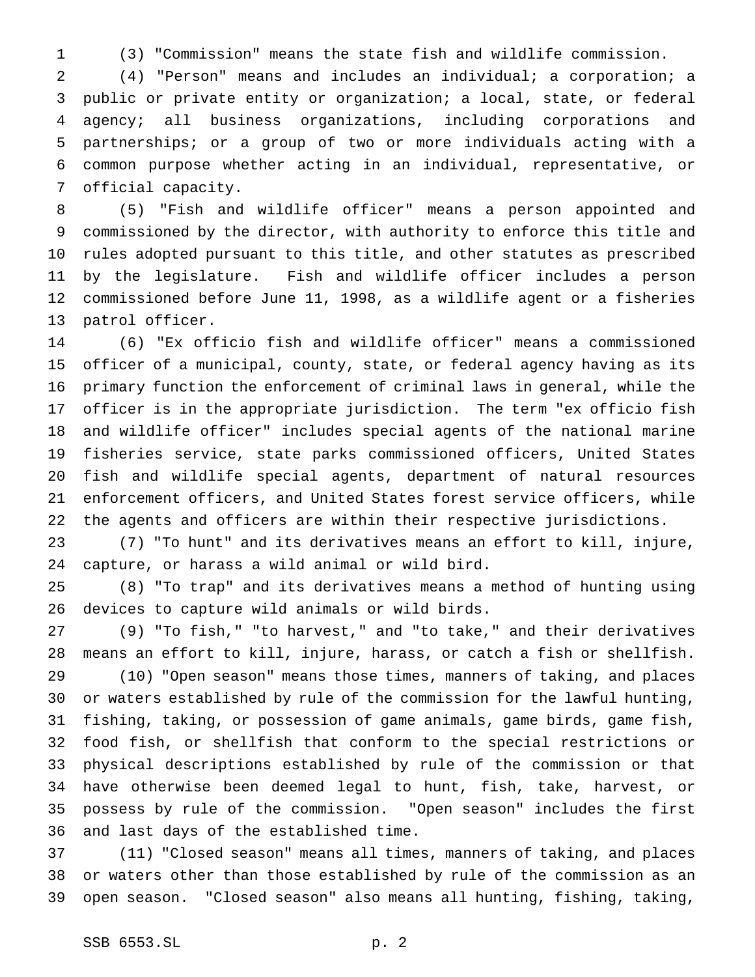(3) "Commission" means the state fish and wildlife commission.

 (4) "Person" means and includes an individual; a corporation; a public or private entity or organization; a local, state, or federal agency; all business organizations, including corporations and partnerships; or a group of two or more individuals acting with a common purpose whether acting in an individual, representative, or official capacity.

 (5) "Fish and wildlife officer" means a person appointed and commissioned by the director, with authority to enforce this title and rules adopted pursuant to this title, and other statutes as prescribed by the legislature. Fish and wildlife officer includes a person commissioned before June 11, 1998, as a wildlife agent or a fisheries patrol officer.

 (6) "Ex officio fish and wildlife officer" means a commissioned officer of a municipal, county, state, or federal agency having as its primary function the enforcement of criminal laws in general, while the officer is in the appropriate jurisdiction. The term "ex officio fish and wildlife officer" includes special agents of the national marine fisheries service, state parks commissioned officers, United States fish and wildlife special agents, department of natural resources enforcement officers, and United States forest service officers, while the agents and officers are within their respective jurisdictions.

 (7) "To hunt" and its derivatives means an effort to kill, injure, capture, or harass a wild animal or wild bird.

 (8) "To trap" and its derivatives means a method of hunting using devices to capture wild animals or wild birds.

 (9) "To fish," "to harvest," and "to take," and their derivatives means an effort to kill, injure, harass, or catch a fish or shellfish. (10) "Open season" means those times, manners of taking, and places or waters established by rule of the commission for the lawful hunting, fishing, taking, or possession of game animals, game birds, game fish, food fish, or shellfish that conform to the special restrictions or physical descriptions established by rule of the commission or that have otherwise been deemed legal to hunt, fish, take, harvest, or possess by rule of the commission. "Open season" includes the first and last days of the established time.

 (11) "Closed season" means all times, manners of taking, and places or waters other than those established by rule of the commission as an open season. "Closed season" also means all hunting, fishing, taking,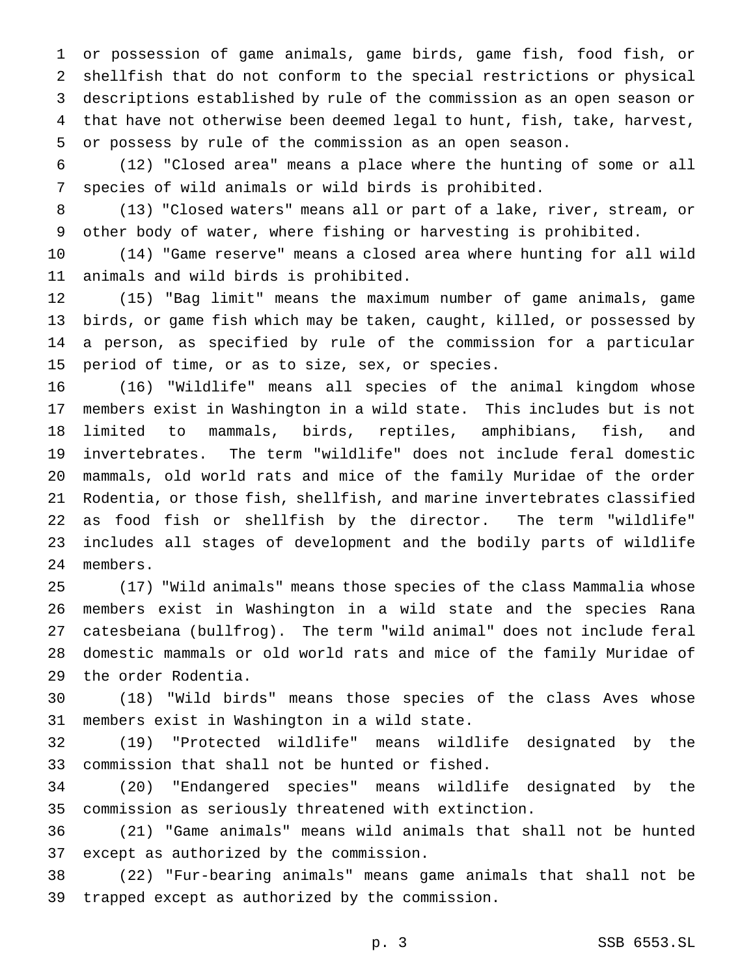or possession of game animals, game birds, game fish, food fish, or shellfish that do not conform to the special restrictions or physical descriptions established by rule of the commission as an open season or that have not otherwise been deemed legal to hunt, fish, take, harvest, or possess by rule of the commission as an open season.

 (12) "Closed area" means a place where the hunting of some or all species of wild animals or wild birds is prohibited.

 (13) "Closed waters" means all or part of a lake, river, stream, or other body of water, where fishing or harvesting is prohibited.

 (14) "Game reserve" means a closed area where hunting for all wild animals and wild birds is prohibited.

 (15) "Bag limit" means the maximum number of game animals, game birds, or game fish which may be taken, caught, killed, or possessed by a person, as specified by rule of the commission for a particular period of time, or as to size, sex, or species.

 (16) "Wildlife" means all species of the animal kingdom whose members exist in Washington in a wild state. This includes but is not limited to mammals, birds, reptiles, amphibians, fish, and invertebrates. The term "wildlife" does not include feral domestic mammals, old world rats and mice of the family Muridae of the order Rodentia, or those fish, shellfish, and marine invertebrates classified as food fish or shellfish by the director. The term "wildlife" includes all stages of development and the bodily parts of wildlife members.

 (17) "Wild animals" means those species of the class Mammalia whose members exist in Washington in a wild state and the species Rana catesbeiana (bullfrog). The term "wild animal" does not include feral domestic mammals or old world rats and mice of the family Muridae of the order Rodentia.

 (18) "Wild birds" means those species of the class Aves whose members exist in Washington in a wild state.

 (19) "Protected wildlife" means wildlife designated by the commission that shall not be hunted or fished.

 (20) "Endangered species" means wildlife designated by the commission as seriously threatened with extinction.

 (21) "Game animals" means wild animals that shall not be hunted except as authorized by the commission.

 (22) "Fur-bearing animals" means game animals that shall not be trapped except as authorized by the commission.

p. 3 SSB 6553.SL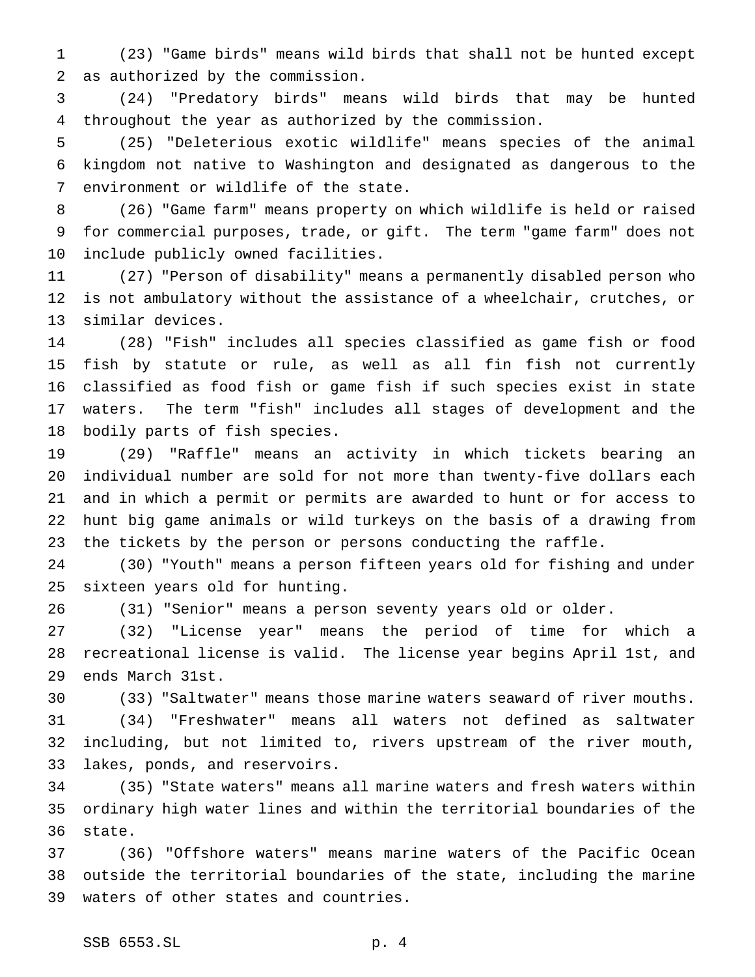(23) "Game birds" means wild birds that shall not be hunted except as authorized by the commission.

 (24) "Predatory birds" means wild birds that may be hunted throughout the year as authorized by the commission.

 (25) "Deleterious exotic wildlife" means species of the animal kingdom not native to Washington and designated as dangerous to the environment or wildlife of the state.

 (26) "Game farm" means property on which wildlife is held or raised for commercial purposes, trade, or gift. The term "game farm" does not include publicly owned facilities.

 (27) "Person of disability" means a permanently disabled person who is not ambulatory without the assistance of a wheelchair, crutches, or similar devices.

 (28) "Fish" includes all species classified as game fish or food fish by statute or rule, as well as all fin fish not currently classified as food fish or game fish if such species exist in state waters. The term "fish" includes all stages of development and the bodily parts of fish species.

 (29) "Raffle" means an activity in which tickets bearing an individual number are sold for not more than twenty-five dollars each and in which a permit or permits are awarded to hunt or for access to hunt big game animals or wild turkeys on the basis of a drawing from the tickets by the person or persons conducting the raffle.

 (30) "Youth" means a person fifteen years old for fishing and under sixteen years old for hunting.

(31) "Senior" means a person seventy years old or older.

 (32) "License year" means the period of time for which a recreational license is valid. The license year begins April 1st, and ends March 31st.

 (33) "Saltwater" means those marine waters seaward of river mouths. (34) "Freshwater" means all waters not defined as saltwater including, but not limited to, rivers upstream of the river mouth, lakes, ponds, and reservoirs.

 (35) "State waters" means all marine waters and fresh waters within ordinary high water lines and within the territorial boundaries of the state.

 (36) "Offshore waters" means marine waters of the Pacific Ocean outside the territorial boundaries of the state, including the marine waters of other states and countries.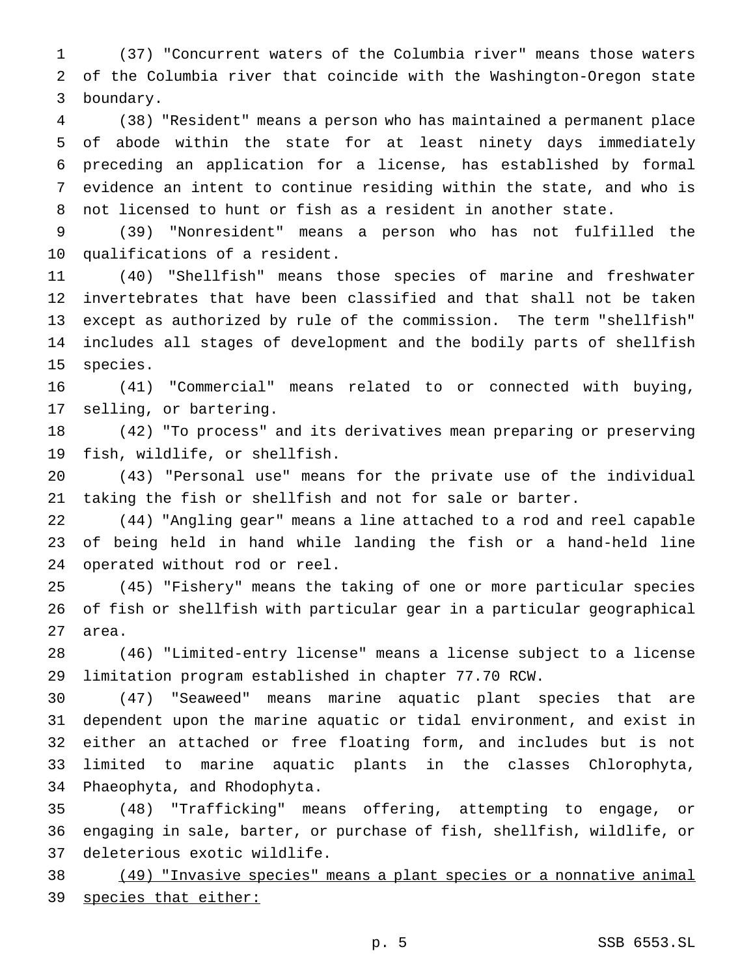(37) "Concurrent waters of the Columbia river" means those waters of the Columbia river that coincide with the Washington-Oregon state boundary.

 (38) "Resident" means a person who has maintained a permanent place of abode within the state for at least ninety days immediately preceding an application for a license, has established by formal evidence an intent to continue residing within the state, and who is not licensed to hunt or fish as a resident in another state.

 (39) "Nonresident" means a person who has not fulfilled the qualifications of a resident.

 (40) "Shellfish" means those species of marine and freshwater invertebrates that have been classified and that shall not be taken except as authorized by rule of the commission. The term "shellfish" includes all stages of development and the bodily parts of shellfish species.

 (41) "Commercial" means related to or connected with buying, selling, or bartering.

 (42) "To process" and its derivatives mean preparing or preserving fish, wildlife, or shellfish.

 (43) "Personal use" means for the private use of the individual taking the fish or shellfish and not for sale or barter.

 (44) "Angling gear" means a line attached to a rod and reel capable of being held in hand while landing the fish or a hand-held line operated without rod or reel.

 (45) "Fishery" means the taking of one or more particular species of fish or shellfish with particular gear in a particular geographical area.

 (46) "Limited-entry license" means a license subject to a license limitation program established in chapter 77.70 RCW.

 (47) "Seaweed" means marine aquatic plant species that are dependent upon the marine aquatic or tidal environment, and exist in either an attached or free floating form, and includes but is not limited to marine aquatic plants in the classes Chlorophyta, Phaeophyta, and Rhodophyta.

 (48) "Trafficking" means offering, attempting to engage, or engaging in sale, barter, or purchase of fish, shellfish, wildlife, or deleterious exotic wildlife.

 (49) "Invasive species" means a plant species or a nonnative animal species that either: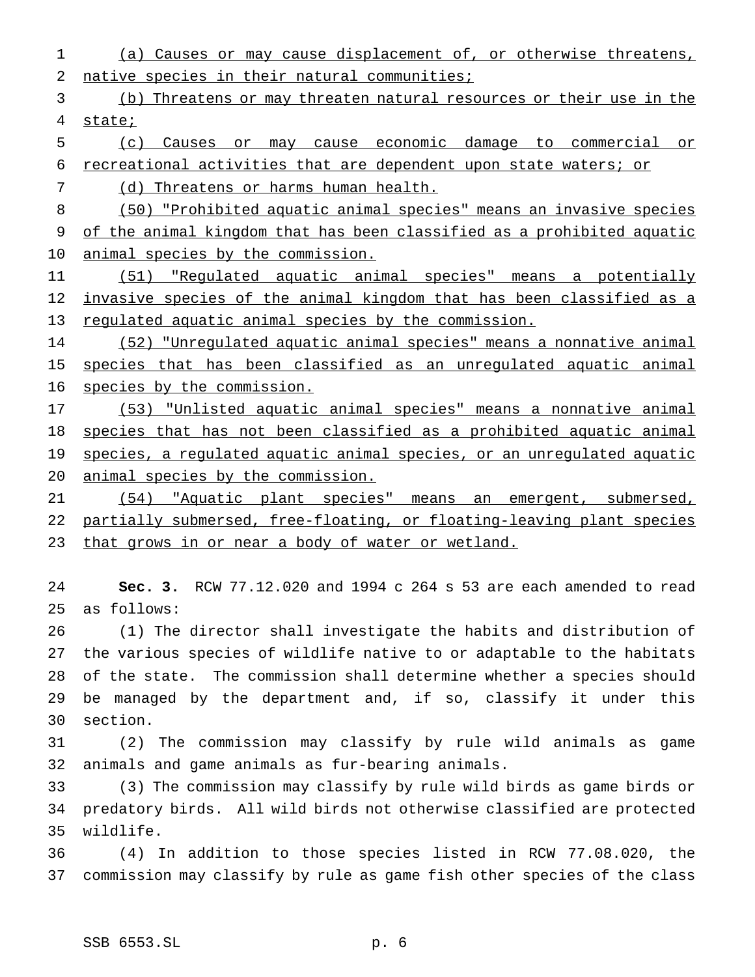(a) Causes or may cause displacement of, or otherwise threatens, 2 native species in their natural communities;

 (b) Threatens or may threaten natural resources or their use in the state;

- (c) Causes or may cause economic damage to commercial or recreational activities that are dependent upon state waters; or
- 7 (d) Threatens or harms human health.

 (50) "Prohibited aquatic animal species" means an invasive species of the animal kingdom that has been classified as a prohibited aquatic animal species by the commission.

 (51) "Regulated aquatic animal species" means a potentially 12 invasive species of the animal kingdom that has been classified as a 13 regulated aquatic animal species by the commission.

 (52) "Unregulated aquatic animal species" means a nonnative animal 15 species that has been classified as an unregulated aquatic animal species by the commission.

 (53) "Unlisted aquatic animal species" means a nonnative animal species that has not been classified as a prohibited aquatic animal 19 species, a regulated aquatic animal species, or an unregulated aquatic animal species by the commission.

 (54) "Aquatic plant species" means an emergent, submersed, partially submersed, free-floating, or floating-leaving plant species that grows in or near a body of water or wetland.

 **Sec. 3.** RCW 77.12.020 and 1994 c 264 s 53 are each amended to read as follows:

 (1) The director shall investigate the habits and distribution of the various species of wildlife native to or adaptable to the habitats of the state. The commission shall determine whether a species should be managed by the department and, if so, classify it under this section.

 (2) The commission may classify by rule wild animals as game animals and game animals as fur-bearing animals.

 (3) The commission may classify by rule wild birds as game birds or predatory birds. All wild birds not otherwise classified are protected wildlife.

 (4) In addition to those species listed in RCW 77.08.020, the commission may classify by rule as game fish other species of the class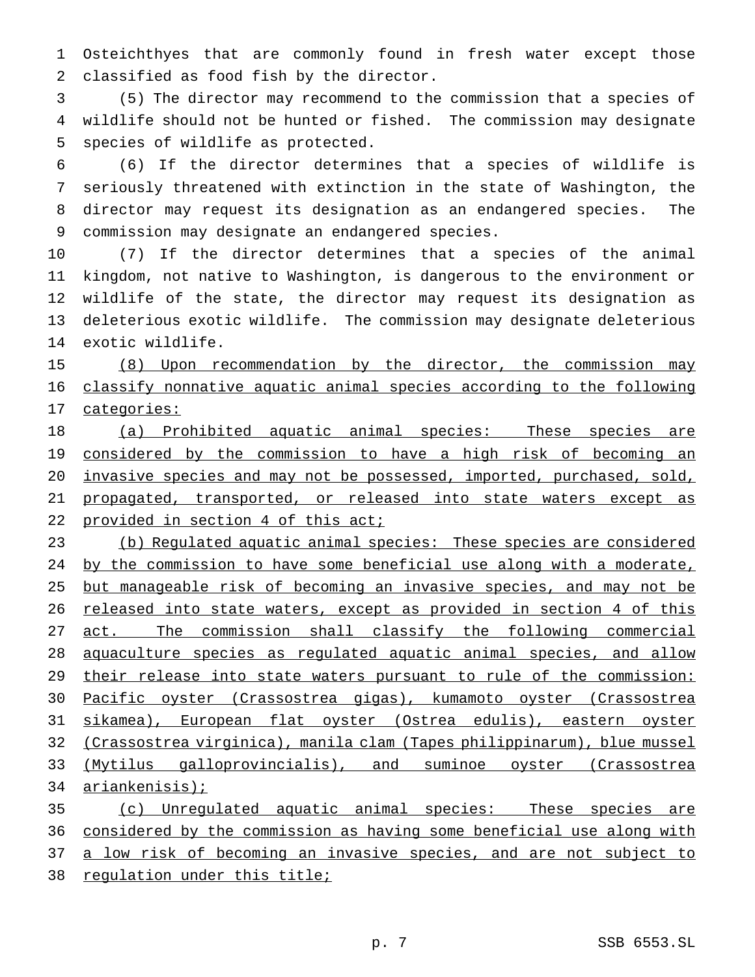Osteichthyes that are commonly found in fresh water except those classified as food fish by the director.

 (5) The director may recommend to the commission that a species of wildlife should not be hunted or fished. The commission may designate species of wildlife as protected.

 (6) If the director determines that a species of wildlife is seriously threatened with extinction in the state of Washington, the director may request its designation as an endangered species. The commission may designate an endangered species.

 (7) If the director determines that a species of the animal kingdom, not native to Washington, is dangerous to the environment or wildlife of the state, the director may request its designation as deleterious exotic wildlife. The commission may designate deleterious exotic wildlife.

15 (8) Upon recommendation by the director, the commission may classify nonnative aquatic animal species according to the following categories:

 (a) Prohibited aquatic animal species: These species are 19 considered by the commission to have a high risk of becoming an invasive species and may not be possessed, imported, purchased, sold, propagated, transported, or released into state waters except as 22 provided in section 4 of this act;

 (b) Regulated aquatic animal species: These species are considered by the commission to have some beneficial use along with a moderate, but manageable risk of becoming an invasive species, and may not be 26 released into state waters, except as provided in section 4 of this 27 act. The commission shall classify the following commercial aquaculture species as regulated aquatic animal species, and allow 29 their release into state waters pursuant to rule of the commission: Pacific oyster (Crassostrea gigas), kumamoto oyster (Crassostrea sikamea), European flat oyster (Ostrea edulis), eastern oyster (Crassostrea virginica), manila clam (Tapes philippinarum), blue mussel (Mytilus galloprovincialis), and suminoe oyster (Crassostrea ariankenisis);

 (c) Unregulated aquatic animal species: These species are considered by the commission as having some beneficial use along with 37 a low risk of becoming an invasive species, and are not subject to regulation under this title;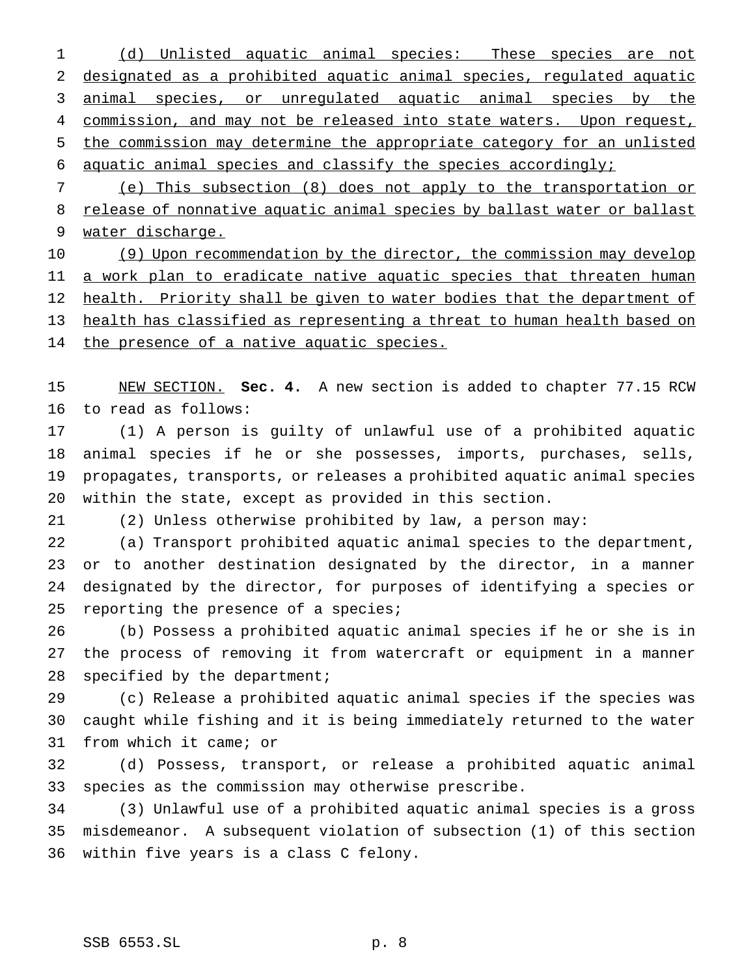(d) Unlisted aquatic animal species: These species are not designated as a prohibited aquatic animal species, regulated aquatic 3 animal species, or unregulated aquatic animal species by the 4 commission, and may not be released into state waters. Upon request, the commission may determine the appropriate category for an unlisted aquatic animal species and classify the species accordingly;

 (e) This subsection (8) does not apply to the transportation or 8 release of nonnative aquatic animal species by ballast water or ballast water discharge.

10 (9) Upon recommendation by the director, the commission may develop 11 a work plan to eradicate native aquatic species that threaten human 12 health. Priority shall be given to water bodies that the department of health has classified as representing a threat to human health based on 14 the presence of a native aquatic species.

 NEW SECTION. **Sec. 4.** A new section is added to chapter 77.15 RCW to read as follows:

 (1) A person is guilty of unlawful use of a prohibited aquatic animal species if he or she possesses, imports, purchases, sells, propagates, transports, or releases a prohibited aquatic animal species within the state, except as provided in this section.

(2) Unless otherwise prohibited by law, a person may:

 (a) Transport prohibited aquatic animal species to the department, or to another destination designated by the director, in a manner designated by the director, for purposes of identifying a species or 25 reporting the presence of a species;

 (b) Possess a prohibited aquatic animal species if he or she is in the process of removing it from watercraft or equipment in a manner specified by the department;

 (c) Release a prohibited aquatic animal species if the species was caught while fishing and it is being immediately returned to the water from which it came; or

 (d) Possess, transport, or release a prohibited aquatic animal species as the commission may otherwise prescribe.

 (3) Unlawful use of a prohibited aquatic animal species is a gross misdemeanor. A subsequent violation of subsection (1) of this section within five years is a class C felony.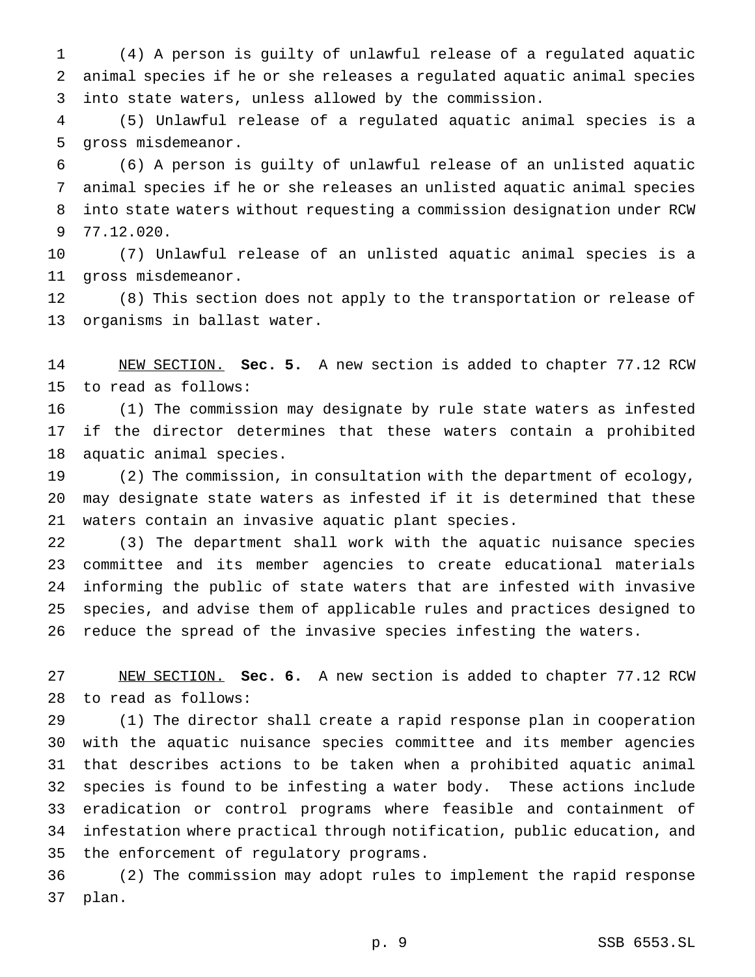(4) A person is guilty of unlawful release of a regulated aquatic animal species if he or she releases a regulated aquatic animal species into state waters, unless allowed by the commission.

 (5) Unlawful release of a regulated aquatic animal species is a gross misdemeanor.

 (6) A person is guilty of unlawful release of an unlisted aquatic animal species if he or she releases an unlisted aquatic animal species into state waters without requesting a commission designation under RCW 77.12.020.

 (7) Unlawful release of an unlisted aquatic animal species is a gross misdemeanor.

 (8) This section does not apply to the transportation or release of organisms in ballast water.

 NEW SECTION. **Sec. 5.** A new section is added to chapter 77.12 RCW to read as follows:

 (1) The commission may designate by rule state waters as infested if the director determines that these waters contain a prohibited aquatic animal species.

 (2) The commission, in consultation with the department of ecology, may designate state waters as infested if it is determined that these waters contain an invasive aquatic plant species.

 (3) The department shall work with the aquatic nuisance species committee and its member agencies to create educational materials informing the public of state waters that are infested with invasive species, and advise them of applicable rules and practices designed to reduce the spread of the invasive species infesting the waters.

 NEW SECTION. **Sec. 6.** A new section is added to chapter 77.12 RCW to read as follows:

 (1) The director shall create a rapid response plan in cooperation with the aquatic nuisance species committee and its member agencies that describes actions to be taken when a prohibited aquatic animal species is found to be infesting a water body. These actions include eradication or control programs where feasible and containment of infestation where practical through notification, public education, and the enforcement of regulatory programs.

 (2) The commission may adopt rules to implement the rapid response plan.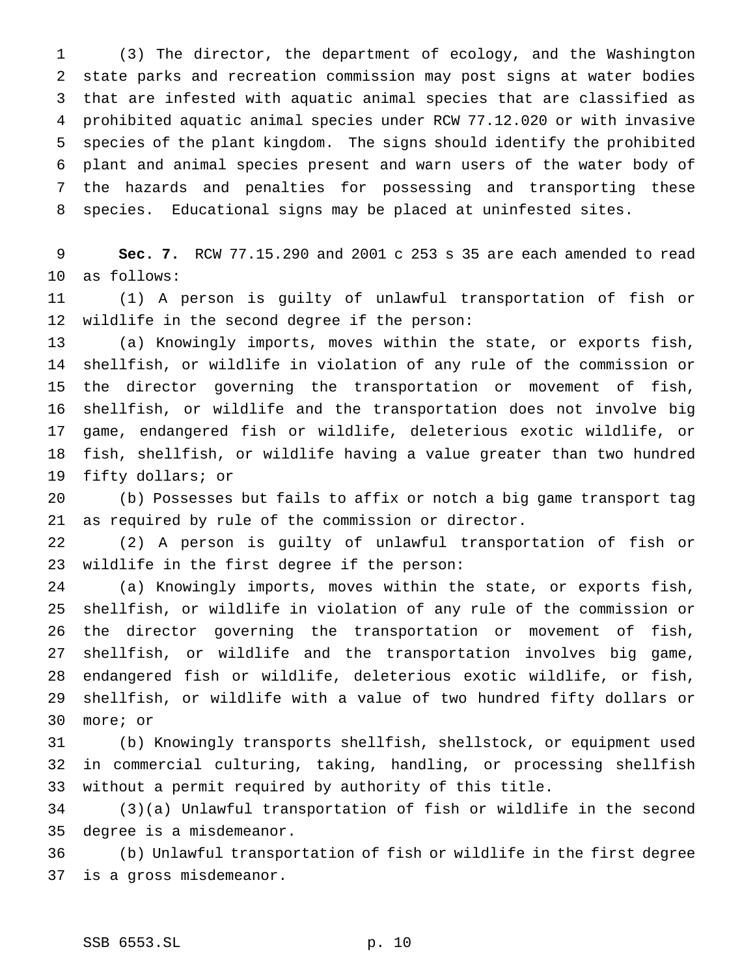(3) The director, the department of ecology, and the Washington state parks and recreation commission may post signs at water bodies that are infested with aquatic animal species that are classified as prohibited aquatic animal species under RCW 77.12.020 or with invasive species of the plant kingdom. The signs should identify the prohibited plant and animal species present and warn users of the water body of the hazards and penalties for possessing and transporting these species. Educational signs may be placed at uninfested sites.

 **Sec. 7.** RCW 77.15.290 and 2001 c 253 s 35 are each amended to read as follows:

 (1) A person is guilty of unlawful transportation of fish or wildlife in the second degree if the person:

 (a) Knowingly imports, moves within the state, or exports fish, shellfish, or wildlife in violation of any rule of the commission or the director governing the transportation or movement of fish, shellfish, or wildlife and the transportation does not involve big game, endangered fish or wildlife, deleterious exotic wildlife, or fish, shellfish, or wildlife having a value greater than two hundred fifty dollars; or

 (b) Possesses but fails to affix or notch a big game transport tag as required by rule of the commission or director.

 (2) A person is guilty of unlawful transportation of fish or wildlife in the first degree if the person:

 (a) Knowingly imports, moves within the state, or exports fish, shellfish, or wildlife in violation of any rule of the commission or the director governing the transportation or movement of fish, shellfish, or wildlife and the transportation involves big game, endangered fish or wildlife, deleterious exotic wildlife, or fish, shellfish, or wildlife with a value of two hundred fifty dollars or more; or

 (b) Knowingly transports shellfish, shellstock, or equipment used in commercial culturing, taking, handling, or processing shellfish without a permit required by authority of this title.

 (3)(a) Unlawful transportation of fish or wildlife in the second degree is a misdemeanor.

 (b) Unlawful transportation of fish or wildlife in the first degree is a gross misdemeanor.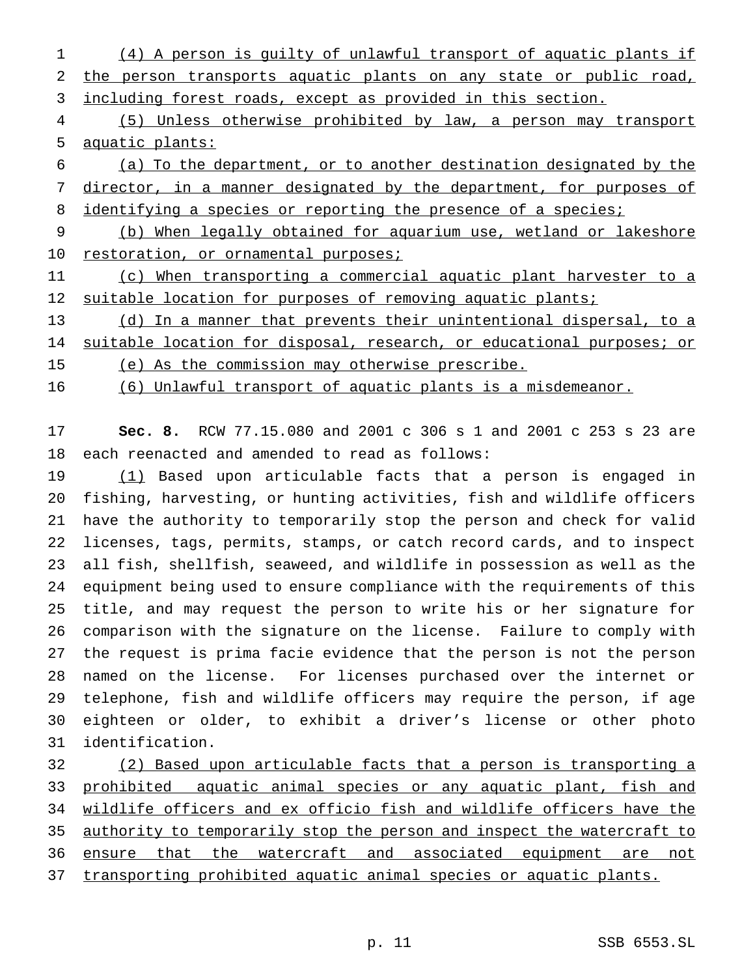(4) A person is guilty of unlawful transport of aquatic plants if 2 the person transports aquatic plants on any state or public road, including forest roads, except as provided in this section.

 (5) Unless otherwise prohibited by law, a person may transport aquatic plants:

 (a) To the department, or to another destination designated by the 7 director, in a manner designated by the department, for purposes of 8 identifying a species or reporting the presence of a species;

 (b) When legally obtained for aquarium use, wetland or lakeshore 10 restoration, or ornamental purposes;

 (c) When transporting a commercial aquatic plant harvester to a 12 suitable location for purposes of removing aquatic plants;

 (d) In a manner that prevents their unintentional dispersal, to a 14 suitable location for disposal, research, or educational purposes; or

(e) As the commission may otherwise prescribe.

(6) Unlawful transport of aquatic plants is a misdemeanor.

 **Sec. 8.** RCW 77.15.080 and 2001 c 306 s 1 and 2001 c 253 s 23 are each reenacted and amended to read as follows:

 (1) Based upon articulable facts that a person is engaged in fishing, harvesting, or hunting activities, fish and wildlife officers have the authority to temporarily stop the person and check for valid licenses, tags, permits, stamps, or catch record cards, and to inspect all fish, shellfish, seaweed, and wildlife in possession as well as the equipment being used to ensure compliance with the requirements of this title, and may request the person to write his or her signature for comparison with the signature on the license. Failure to comply with the request is prima facie evidence that the person is not the person named on the license. For licenses purchased over the internet or telephone, fish and wildlife officers may require the person, if age eighteen or older, to exhibit a driver's license or other photo identification.

 (2) Based upon articulable facts that a person is transporting a 33 prohibited aquatic animal species or any aquatic plant, fish and wildlife officers and ex officio fish and wildlife officers have the 35 authority to temporarily stop the person and inspect the watercraft to 36 ensure that the watercraft and associated equipment are not transporting prohibited aquatic animal species or aquatic plants.